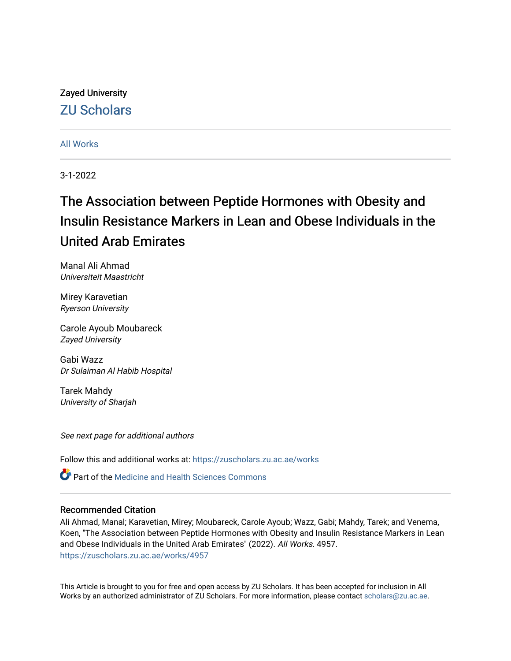## Zayed University [ZU Scholars](https://zuscholars.zu.ac.ae/)

## [All Works](https://zuscholars.zu.ac.ae/works)

3-1-2022

# The Association between Peptide Hormones with Obesity and Insulin Resistance Markers in Lean and Obese Individuals in the United Arab Emirates

Manal Ali Ahmad Universiteit Maastricht

Mirey Karavetian Ryerson University

Carole Ayoub Moubareck Zayed University

Gabi Wazz Dr Sulaiman Al Habib Hospital

Tarek Mahdy University of Sharjah

See next page for additional authors

Follow this and additional works at: [https://zuscholars.zu.ac.ae/works](https://zuscholars.zu.ac.ae/works?utm_source=zuscholars.zu.ac.ae%2Fworks%2F4957&utm_medium=PDF&utm_campaign=PDFCoverPages)

Part of the [Medicine and Health Sciences Commons](http://network.bepress.com/hgg/discipline/648?utm_source=zuscholars.zu.ac.ae%2Fworks%2F4957&utm_medium=PDF&utm_campaign=PDFCoverPages) 

### Recommended Citation

Ali Ahmad, Manal; Karavetian, Mirey; Moubareck, Carole Ayoub; Wazz, Gabi; Mahdy, Tarek; and Venema, Koen, "The Association between Peptide Hormones with Obesity and Insulin Resistance Markers in Lean and Obese Individuals in the United Arab Emirates" (2022). All Works. 4957. [https://zuscholars.zu.ac.ae/works/4957](https://zuscholars.zu.ac.ae/works/4957?utm_source=zuscholars.zu.ac.ae%2Fworks%2F4957&utm_medium=PDF&utm_campaign=PDFCoverPages)

This Article is brought to you for free and open access by ZU Scholars. It has been accepted for inclusion in All Works by an authorized administrator of ZU Scholars. For more information, please contact [scholars@zu.ac.ae](mailto:scholars@zu.ac.ae).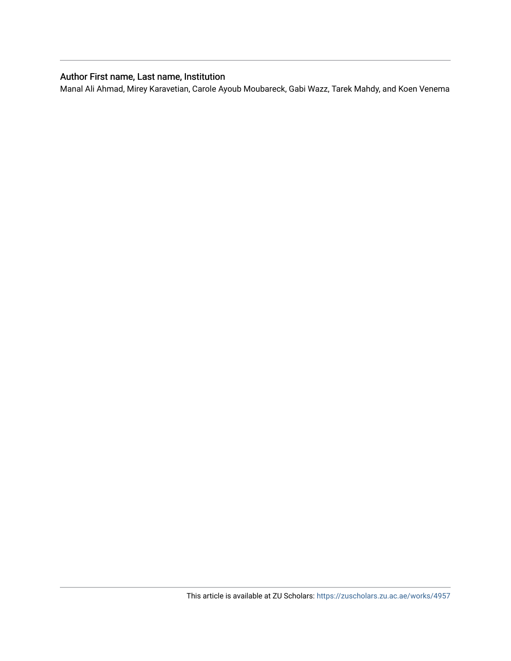## Author First name, Last name, Institution

Manal Ali Ahmad, Mirey Karavetian, Carole Ayoub Moubareck, Gabi Wazz, Tarek Mahdy, and Koen Venema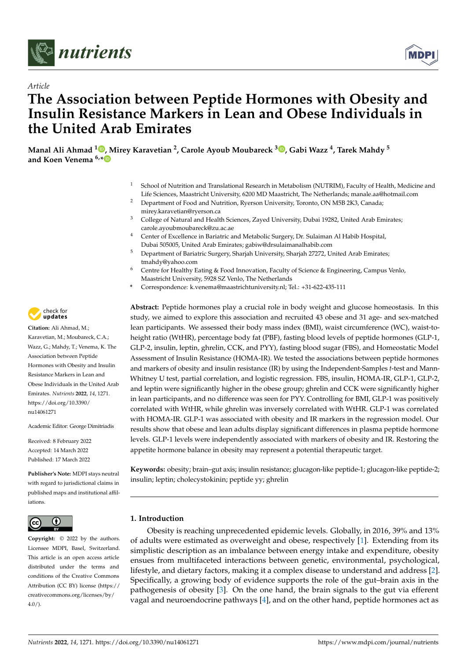

*Article*



## **The Association between Peptide Hormones with Obesity and Insulin Resistance Markers in Lean and Obese Individuals in the United Arab Emirates**

**Manal Ali Ahmad <sup>1</sup> [,](https://orcid.org/0000-0002-9754-1545) Mirey Karavetian <sup>2</sup> , Carole Ayoub Moubareck <sup>3</sup> [,](https://orcid.org/0000-0001-8369-5271) Gabi Wazz <sup>4</sup> , Tarek Mahdy <sup>5</sup> and Koen Venema 6,[\\*](https://orcid.org/0000-0001-7046-5127)**

- <sup>1</sup> School of Nutrition and Translational Research in Metabolism (NUTRIM), Faculty of Health, Medicine and Life Sciences, Maastricht University, 6200 MD Maastricht, The Netherlands; manale.aa@hotmail.com
- <sup>2</sup> Department of Food and Nutrition, Ryerson University, Toronto, ON M5B 2K3, Canada; mirey.karavetian@ryerson.ca
- <sup>3</sup> College of Natural and Health Sciences, Zayed University, Dubai 19282, United Arab Emirates; carole.ayoubmoubareck@zu.ac.ae
- <sup>4</sup> Center of Excellence in Bariatric and Metabolic Surgery, Dr. Sulaiman Al Habib Hospital, Dubai 505005, United Arab Emirates; gabiw@drsulaimanalhabib.com
- <sup>5</sup> Department of Bariatric Surgery, Sharjah University, Sharjah 27272, United Arab Emirates; tmahdy@yahoo.com
- <sup>6</sup> Centre for Healthy Eating & Food Innovation, Faculty of Science & Engineering, Campus Venlo, Maastricht University, 5928 SZ Venlo, The Netherlands
- **\*** Correspondence: k.venema@maastrichtuniversity.nl; Tel.: +31-622-435-111

**Abstract:** Peptide hormones play a crucial role in body weight and glucose homeostasis. In this study, we aimed to explore this association and recruited 43 obese and 31 age- and sex-matched lean participants. We assessed their body mass index (BMI), waist circumference (WC), waist-toheight ratio (WtHR), percentage body fat (PBF), fasting blood levels of peptide hormones (GLP-1, GLP-2, insulin, leptin, ghrelin, CCK, and PYY), fasting blood sugar (FBS), and Homeostatic Model Assessment of Insulin Resistance (HOMA-IR). We tested the associations between peptide hormones and markers of obesity and insulin resistance (IR) by using the Independent-Samples *t*-test and Mann-Whitney U test, partial correlation, and logistic regression. FBS, insulin, HOMA-IR, GLP-1, GLP-2, and leptin were significantly higher in the obese group; ghrelin and CCK were significantly higher in lean participants, and no difference was seen for PYY. Controlling for BMI, GLP-1 was positively correlated with WtHR, while ghrelin was inversely correlated with WtHR. GLP-1 was correlated with HOMA-IR. GLP-1 was associated with obesity and IR markers in the regression model. Our results show that obese and lean adults display significant differences in plasma peptide hormone levels. GLP-1 levels were independently associated with markers of obesity and IR. Restoring the appetite hormone balance in obesity may represent a potential therapeutic target.

**Keywords:** obesity; brain–gut axis; insulin resistance; glucagon-like peptide-1; glucagon-like peptide-2; insulin; leptin; cholecystokinin; peptide yy; ghrelin

### **1. Introduction**

Obesity is reaching unprecedented epidemic levels. Globally, in 2016, 39% and 13% of adults were estimated as overweight and obese, respectively [\[1\]](#page-11-0). Extending from its simplistic description as an imbalance between energy intake and expenditure, obesity ensues from multifaceted interactions between genetic, environmental, psychological, lifestyle, and dietary factors, making it a complex disease to understand and address [\[2\]](#page-11-1). Specifically, a growing body of evidence supports the role of the gut–brain axis in the pathogenesis of obesity [\[3\]](#page-11-2). On the one hand, the brain signals to the gut via efferent vagal and neuroendocrine pathways [\[4\]](#page-11-3), and on the other hand, peptide hormones act as



**Citation:** Ali Ahmad, M.; Karavetian, M.; Moubareck, C.A.; Wazz, G.; Mahdy, T.; Venema, K. The Association between Peptide Hormones with Obesity and Insulin Resistance Markers in Lean and Obese Individuals in the United Arab Emirates. *Nutrients* **2022**, *14*, 1271. [https://doi.org/10.3390/](https://doi.org/10.3390/nu14061271) [nu14061271](https://doi.org/10.3390/nu14061271)

Academic Editor: George Dimitriadis

Received: 8 February 2022 Accepted: 14 March 2022 Published: 17 March 2022

**Publisher's Note:** MDPI stays neutral with regard to jurisdictional claims in published maps and institutional affiliations.



**Copyright:** © 2022 by the authors. Licensee MDPI, Basel, Switzerland. This article is an open access article distributed under the terms and conditions of the Creative Commons Attribution (CC BY) license [\(https://](https://creativecommons.org/licenses/by/4.0/) [creativecommons.org/licenses/by/](https://creativecommons.org/licenses/by/4.0/)  $4.0/$ ).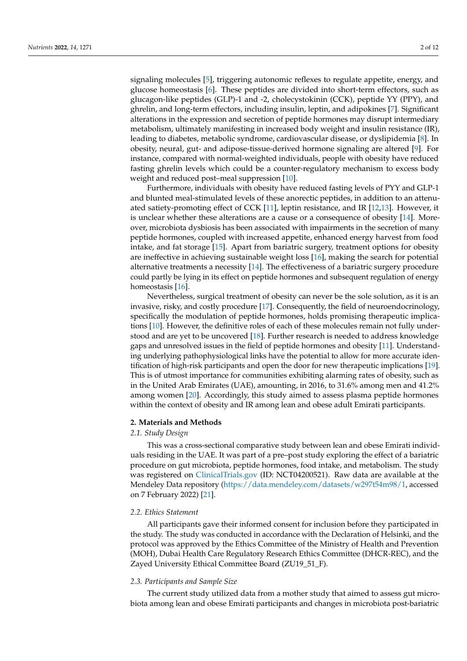signaling molecules [\[5\]](#page-11-4), triggering autonomic reflexes to regulate appetite, energy, and glucose homeostasis [\[6\]](#page-11-5). These peptides are divided into short-term effectors, such as glucagon-like peptides (GLP)-1 and -2, cholecystokinin (CCK), peptide YY (PPY), and ghrelin, and long-term effectors, including insulin, leptin, and adipokines [\[7\]](#page-11-6). Significant alterations in the expression and secretion of peptide hormones may disrupt intermediary metabolism, ultimately manifesting in increased body weight and insulin resistance (IR), leading to diabetes, metabolic syndrome, cardiovascular disease, or dyslipidemia [\[8\]](#page-11-7). In obesity, neural, gut- and adipose-tissue-derived hormone signaling are altered [\[9\]](#page-11-8). For instance, compared with normal-weighted individuals, people with obesity have reduced fasting ghrelin levels which could be a counter-regulatory mechanism to excess body weight and reduced post–meal suppression [\[10\]](#page-11-9).

Furthermore, individuals with obesity have reduced fasting levels of PYY and GLP-1 and blunted meal-stimulated levels of these anorectic peptides, in addition to an attenuated satiety-promoting effect of CCK [\[11\]](#page-11-10), leptin resistance, and IR [\[12](#page-11-11)[,13\]](#page-11-12). However, it is unclear whether these alterations are a cause or a consequence of obesity [\[14\]](#page-11-13). Moreover, microbiota dysbiosis has been associated with impairments in the secretion of many peptide hormones, coupled with increased appetite, enhanced energy harvest from food intake, and fat storage [\[15\]](#page-11-14). Apart from bariatric surgery, treatment options for obesity are ineffective in achieving sustainable weight loss [\[16\]](#page-11-15), making the search for potential alternative treatments a necessity [\[14\]](#page-11-13). The effectiveness of a bariatric surgery procedure could partly be lying in its effect on peptide hormones and subsequent regulation of energy homeostasis [\[16\]](#page-11-15).

Nevertheless, surgical treatment of obesity can never be the sole solution, as it is an invasive, risky, and costly procedure [\[17\]](#page-11-16). Consequently, the field of neuroendocrinology, specifically the modulation of peptide hormones, holds promising therapeutic implications [\[10\]](#page-11-9). However, the definitive roles of each of these molecules remain not fully understood and are yet to be uncovered [\[18\]](#page-11-17). Further research is needed to address knowledge gaps and unresolved issues in the field of peptide hormones and obesity [\[11\]](#page-11-10). Understanding underlying pathophysiological links have the potential to allow for more accurate identification of high-risk participants and open the door for new therapeutic implications [\[19\]](#page-11-18). This is of utmost importance for communities exhibiting alarming rates of obesity, such as in the United Arab Emirates (UAE), amounting, in 2016, to 31.6% among men and 41.2% among women [\[20\]](#page-11-19). Accordingly, this study aimed to assess plasma peptide hormones within the context of obesity and IR among lean and obese adult Emirati participants.

#### **2. Materials and Methods**

#### *2.1. Study Design*

This was a cross-sectional comparative study between lean and obese Emirati individuals residing in the UAE. It was part of a pre–post study exploring the effect of a bariatric procedure on gut microbiota, peptide hormones, food intake, and metabolism. The study was registered on <ClinicalTrials.gov> (ID: NCT04200521). Raw data are available at the Mendeley Data repository [\(https://data.mendeley.com/datasets/w297t54m98/1,](https://data.mendeley.com/datasets/w297t54m98/1) accessed on 7 February 2022) [\[21\]](#page-11-20).

#### *2.2. Ethics Statement*

All participants gave their informed consent for inclusion before they participated in the study. The study was conducted in accordance with the Declaration of Helsinki, and the protocol was approved by the Ethics Committee of the Ministry of Health and Prevention (MOH), Dubai Health Care Regulatory Research Ethics Committee (DHCR-REC), and the Zayed University Ethical Committee Board (ZU19\_51\_F).

#### *2.3. Participants and Sample Size*

The current study utilized data from a mother study that aimed to assess gut microbiota among lean and obese Emirati participants and changes in microbiota post-bariatric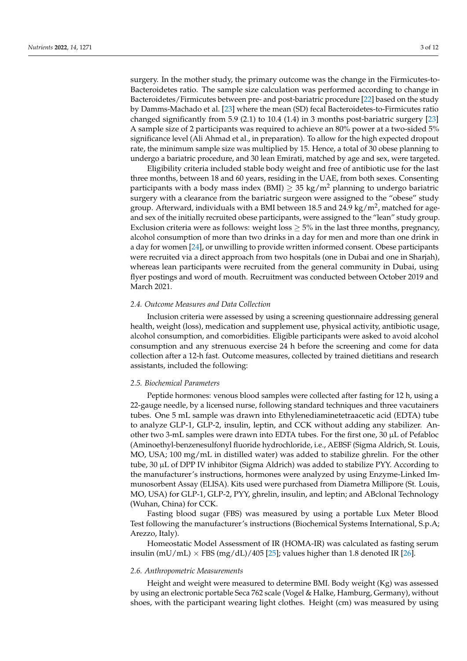surgery. In the mother study, the primary outcome was the change in the Firmicutes-to-Bacteroidetes ratio. The sample size calculation was performed according to change in Bacteroidetes/Firmicutes between pre- and post-bariatric procedure [\[22\]](#page-11-21) based on the study by Damms-Machado et al. [\[23\]](#page-12-0) where the mean (SD) fecal Bacteroidetes-to-Firmicutes ratio changed significantly from 5.9 (2.1) to 10.4 (1.4) in 3 months post-bariatric surgery [\[23\]](#page-12-0) A sample size of 2 participants was required to achieve an 80% power at a two-sided 5% significance level (Ali Ahmad et al., in preparation). To allow for the high expected dropout rate, the minimum sample size was multiplied by 15. Hence, a total of 30 obese planning to undergo a bariatric procedure, and 30 lean Emirati, matched by age and sex, were targeted.

Eligibility criteria included stable body weight and free of antibiotic use for the last three months, between 18 and 60 years, residing in the UAE, from both sexes. Consenting participants with a body mass index (BMI)  $\geq$  35 kg/m<sup>2</sup> planning to undergo bariatric surgery with a clearance from the bariatric surgeon were assigned to the "obese" study group. Afterward, individuals with a BMI between 18.5 and 24.9 kg/m<sup>2</sup>, matched for ageand sex of the initially recruited obese participants, were assigned to the "lean" study group. Exclusion criteria were as follows: weight loss  $\geq$  5% in the last three months, pregnancy, alcohol consumption of more than two drinks in a day for men and more than one drink in a day for women [\[24\]](#page-12-1), or unwilling to provide written informed consent. Obese participants were recruited via a direct approach from two hospitals (one in Dubai and one in Sharjah), whereas lean participants were recruited from the general community in Dubai, using flyer postings and word of mouth. Recruitment was conducted between October 2019 and March 2021.

#### *2.4. Outcome Measures and Data Collection*

Inclusion criteria were assessed by using a screening questionnaire addressing general health, weight (loss), medication and supplement use, physical activity, antibiotic usage, alcohol consumption, and comorbidities. Eligible participants were asked to avoid alcohol consumption and any strenuous exercise 24 h before the screening and come for data collection after a 12-h fast. Outcome measures, collected by trained dietitians and research assistants, included the following:

#### *2.5. Biochemical Parameters*

Peptide hormones: venous blood samples were collected after fasting for 12 h, using a 22-gauge needle, by a licensed nurse, following standard techniques and three vacutainers tubes. One 5 mL sample was drawn into Ethylenediaminetetraacetic acid (EDTA) tube to analyze GLP-1, GLP-2, insulin, leptin, and CCK without adding any stabilizer. Another two 3-mL samples were drawn into EDTA tubes. For the first one, 30 µL of Pefabloc (Aminoethyl-benzenesulfonyl fluoride hydrochloride, i.e., AEBSF (Sigma Aldrich, St. Louis, MO, USA; 100 mg/mL in distilled water) was added to stabilize ghrelin. For the other tube, 30 µL of DPP IV inhibitor (Sigma Aldrich) was added to stabilize PYY. According to the manufacturer's instructions, hormones were analyzed by using Enzyme-Linked Immunosorbent Assay (ELISA). Kits used were purchased from Diametra Millipore (St. Louis, MO, USA) for GLP-1, GLP-2, PYY, ghrelin, insulin, and leptin; and ABclonal Technology (Wuhan, China) for CCK.

Fasting blood sugar (FBS) was measured by using a portable Lux Meter Blood Test following the manufacturer's instructions (Biochemical Systems International, S.p.A; Arezzo, Italy).

Homeostatic Model Assessment of IR (HOMA-IR) was calculated as fasting serum insulin (mU/mL)  $\times$  FBS (mg/dL)/405 [\[25\]](#page-12-2); values higher than 1.8 denoted IR [\[26\]](#page-12-3).

#### *2.6. Anthropometric Measurements*

Height and weight were measured to determine BMI. Body weight (Kg) was assessed by using an electronic portable Seca 762 scale (Vogel & Halke, Hamburg, Germany), without shoes, with the participant wearing light clothes. Height (cm) was measured by using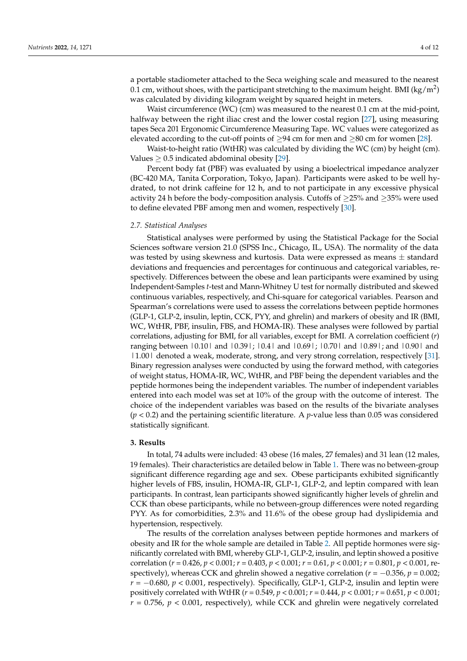a portable stadiometer attached to the Seca weighing scale and measured to the nearest  $0.1$  cm, without shoes, with the participant stretching to the maximum height. BMI (kg/m<sup>2</sup>) was calculated by dividing kilogram weight by squared height in meters.

Waist circumference (WC) (cm) was measured to the nearest 0.1 cm at the mid-point, halfway between the right iliac crest and the lower costal region [\[27\]](#page-12-4), using measuring tapes Seca 201 Ergonomic Circumference Measuring Tape. WC values were categorized as elevated according to the cut-off points of  $\geq$ 94 cm for men and  $\geq$ 80 cm for women [\[28\]](#page-12-5).

Waist-to-height ratio (WtHR) was calculated by dividing the WC (cm) by height (cm). Values  $\geq$  0.5 indicated abdominal obesity [\[29\]](#page-12-6).

Percent body fat (PBF) was evaluated by using a bioelectrical impedance analyzer (BC-420 MA, Tanita Corporation, Tokyo, Japan). Participants were asked to be well hydrated, to not drink caffeine for 12 h, and to not participate in any excessive physical activity 24 h before the body-composition analysis. Cutoffs of  $\geq$  25% and  $\geq$  35% were used to define elevated PBF among men and women, respectively [\[30\]](#page-12-7).

#### *2.7. Statistical Analyses*

Statistical analyses were performed by using the Statistical Package for the Social Sciences software version 21.0 (SPSS Inc., Chicago, IL, USA). The normality of the data was tested by using skewness and kurtosis. Data were expressed as means  $\pm$  standard deviations and frequencies and percentages for continuous and categorical variables, respectively. Differences between the obese and lean participants were examined by using Independent-Samples *t*-test and Mann-Whitney U test for normally distributed and skewed continuous variables, respectively, and Chi-square for categorical variables. Pearson and Spearman's correlations were used to assess the correlations between peptide hormones (GLP-1, GLP-2, insulin, leptin, CCK, PYY, and ghrelin) and markers of obesity and IR (BMI, WC, WtHR, PBF, insulin, FBS, and HOMA-IR). These analyses were followed by partial correlations, adjusting for BMI, for all variables, except for BMI. A correlation coefficient (*r*) ranging between |0.10| and |0.39|; |0.4| and |0.69|; |0.70| and |0.89|; and |0.90| and |1.00| denoted a weak, moderate, strong, and very strong correlation, respectively [\[31\]](#page-12-8). Binary regression analyses were conducted by using the forward method, with categories of weight status, HOMA-IR, WC, WtHR, and PBF being the dependent variables and the peptide hormones being the independent variables. The number of independent variables entered into each model was set at 10% of the group with the outcome of interest. The choice of the independent variables was based on the results of the bivariate analyses (*p* < 0.2) and the pertaining scientific literature. A *p*-value less than 0.05 was considered statistically significant.

#### **3. Results**

In total, 74 adults were included: 43 obese (16 males, 27 females) and 31 lean (12 males, 19 females). Their characteristics are detailed below in Table [1.](#page-6-0) There was no between-group significant difference regarding age and sex. Obese participants exhibited significantly higher levels of FBS, insulin, HOMA-IR, GLP-1, GLP-2, and leptin compared with lean participants. In contrast, lean participants showed significantly higher levels of ghrelin and CCK than obese participants, while no between-group differences were noted regarding PYY. As for comorbidities, 2.3% and 11.6% of the obese group had dyslipidemia and hypertension, respectively.

The results of the correlation analyses between peptide hormones and markers of obesity and IR for the whole sample are detailed in Table [2.](#page-7-0) All peptide hormones were significantly correlated with BMI, whereby GLP-1, GLP-2, insulin, and leptin showed a positive correlation (*r* = 0.426, *p* < 0.001; *r* = 0.403, *p* < 0.001; *r* = 0.61, *p* < 0.001; *r* = 0.801, *p* < 0.001, respectively), whereas CCK and ghrelin showed a negative correlation ( $r = -0.356$ ,  $p = 0.002$ ; *r* = −0.680, *p* < 0.001, respectively). Specifically, GLP-1, GLP-2, insulin and leptin were positively correlated with WtHR (*r* = 0.549, *p* < 0.001; *r* = 0.444, *p* < 0.001; *r* = 0.651, *p* < 0.001;  $r = 0.756$ ,  $p < 0.001$ , respectively), while CCK and ghrelin were negatively correlated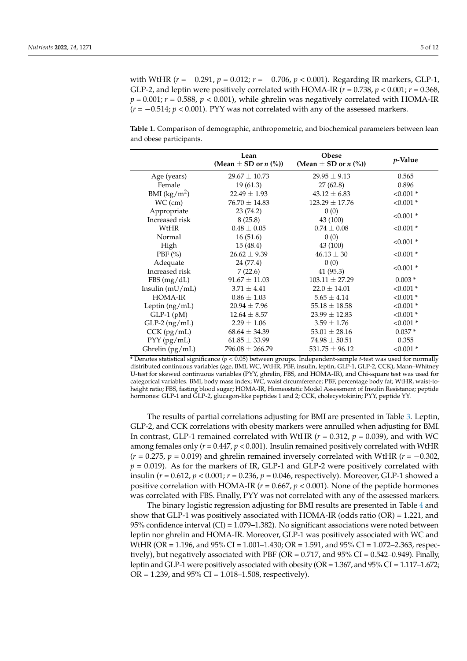with WtHR (*r* = −0.291, *p* = 0.012; *r* = −0.706, *p* < 0.001). Regarding IR markers, GLP-1, GLP-2, and leptin were positively correlated with HOMA-IR  $(r = 0.738, p < 0.001; r = 0.368,$  $p = 0.001$ ;  $r = 0.588$ ,  $p < 0.001$ ), while ghrelin was negatively correlated with HOMA-IR  $(r = -0.514; p < 0.001)$ . PYY was not correlated with any of the assessed markers.

<span id="page-6-0"></span>**Table 1.** Comparison of demographic, anthropometric, and biochemical parameters between lean and obese participants.

|                   | Lean<br>(Mean $\pm$ SD or <i>n</i> (%)) | Obese<br>(Mean $\pm$ SD or <i>n</i> $(\%)$ ) | <i>p</i> -Value |  |
|-------------------|-----------------------------------------|----------------------------------------------|-----------------|--|
| Age (years)       | $29.67 \pm 10.73$                       | $29.95 \pm 9.13$                             | 0.565           |  |
| Female            | 19(61.3)                                | 27 (62.8)                                    | 0.896           |  |
| BMI $(kg/m^2)$    | $22.49 \pm 1.93$                        | $43.12 \pm 6.83$                             | $< 0.001$ *     |  |
| $WC$ (cm)         | $76.70 \pm 14.83$                       | $123.29 \pm 17.76$                           | $< 0.001$ *     |  |
| Appropriate       | 23 (74.2)                               | 0(0)                                         |                 |  |
| Increased risk    | 8(25.8)                                 | 43 (100)                                     | $< 0.001$ *     |  |
| WtHR              | $0.48 \pm 0.05$                         | $0.74 \pm 0.08$                              | $< 0.001$ *     |  |
| Normal            | 16(51.6)                                | 0(0)                                         | $< 0.001$ *     |  |
| High              | 15(48.4)                                | 43 (100)                                     |                 |  |
| PBF $(\%)$        | $26.62 \pm 9.39$                        | $46.13 \pm 30$                               | $< 0.001$ *     |  |
| Adequate          | 24 (77.4)                               | 0(0)                                         | $< 0.001$ *     |  |
| Increased risk    | 7(22.6)                                 | 41 (95.3)                                    |                 |  |
| FBS(mg/dL)        | $91.67 \pm 11.03$                       | $103.11 \pm 27.29$                           | $0.003*$        |  |
| Insulin $(mU/mL)$ | $3.71 \pm 4.41$                         | $22.0 \pm 14.01$                             | $< 0.001$ *     |  |
| <b>HOMA-IR</b>    | $0.86 \pm 1.03$                         | $5.65 \pm 4.14$                              | $< 0.001$ *     |  |
| Leptin $(ng/mL)$  | $20.94 \pm 7.96$                        | $55.18 \pm 18.58$                            | $< 0.001$ *     |  |
| $GLP-1$ (pM)      | $12.64 \pm 8.57$                        | $23.99 \pm 12.83$                            | $< 0.001$ *     |  |
| $GLP-2$ (ng/mL)   | $2.29 \pm 1.06$                         | $3.59 \pm 1.76$                              | $< 0.001$ *     |  |
| $CCK$ (pg/mL)     | $68.64 \pm 34.39$                       | $53.01 \pm 28.16$                            | $0.037*$        |  |
| PYY (pg/mL)       | $61.85 \pm 33.99$                       | $74.98 \pm 50.51$                            | 0.355           |  |
| Ghrelin (pg/mL)   | $796.08 \pm 266.79$                     | $531.75 \pm 96.12$                           | $< 0.001$ *     |  |

\* Denotes statistical significance (*p* < 0.05) between groups. Independent-sample *t*-test was used for normally distributed continuous variables (age, BMI, WC, WtHR, PBF, insulin, leptin, GLP-1, GLP-2, CCK), Mann–Whitney U-test for skewed continuous variables (PYY, ghrelin, FBS, and HOMA-IR), and Chi-square test was used for categorical variables. BMI, body mass index; WC, waist circumference; PBF, percentage body fat; WtHR, waist-toheight ratio; FBS, fasting blood sugar; HOMA-IR, Homeostatic Model Assessment of Insulin Resistance; peptide hormones: GLP-1 and GLP-2, glucagon-like peptides 1 and 2; CCK, cholecystokinin; PYY, peptide YY.

The results of partial correlations adjusting for BMI are presented in Table [3.](#page-7-1) Leptin, GLP-2, and CCK correlations with obesity markers were annulled when adjusting for BMI. In contrast, GLP-1 remained correlated with WtHR  $(r = 0.312, p = 0.039)$ , and with WC among females only (*r* = 0.447, *p* < 0.001). Insulin remained positively correlated with WtHR  $(r = 0.275, p = 0.019)$  and ghrelin remained inversely correlated with WtHR  $(r = -0.302, p = 0.019)$  $p = 0.019$ ). As for the markers of IR, GLP-1 and GLP-2 were positively correlated with insulin (*r* = 0.612, *p* < 0.001; *r* = 0.236, *p* = 0.046, respectively). Moreover, GLP-1 showed a positive correlation with HOMA-IR (*r* = 0.667, *p* < 0.001). None of the peptide hormones was correlated with FBS. Finally, PYY was not correlated with any of the assessed markers.

The binary logistic regression adjusting for BMI results are presented in Table [4](#page-8-0) and show that GLP-1 was positively associated with HOMA-IR (odds ratio (OR) = 1.221, and 95% confidence interval (CI) = 1.079–1.382). No significant associations were noted between leptin nor ghrelin and HOMA-IR. Moreover, GLP-1 was positively associated with WC and WtHR (OR = 1.196, and 95% CI = 1.001–1.430; OR = 1.591, and 95% CI = 1.072–2.363, respectively), but negatively associated with PBF (OR =  $0.717$ , and  $95\%$  CI =  $0.542-0.949$ ). Finally, leptin and GLP-1 were positively associated with obesity (OR = 1.367, and 95% CI = 1.117–1.672;  $OR = 1.239$ , and  $95\% CI = 1.018 - 1.508$ , respectively).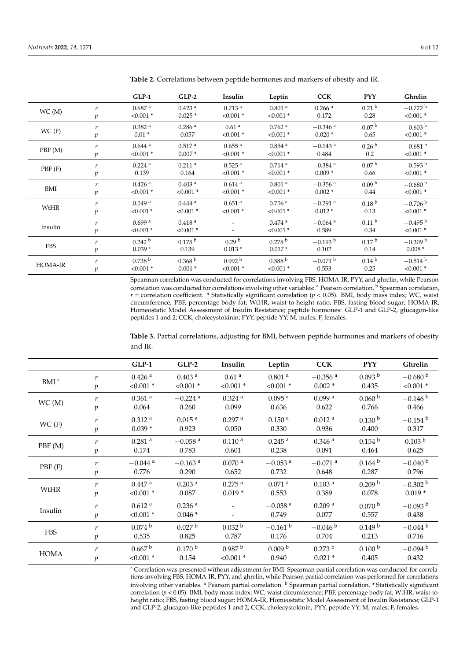|                                  |                  | $GLP-1$              | $GLP-2$              | Insulin              | Leptin               | <b>CCK</b>            | <b>PYY</b>        | Ghrelin               |
|----------------------------------|------------------|----------------------|----------------------|----------------------|----------------------|-----------------------|-------------------|-----------------------|
| WC(M)                            | $\boldsymbol{r}$ | 0.687 <sup>a</sup>   | $0.423$ <sup>a</sup> | $0.713$ <sup>a</sup> | $0.801$ <sup>a</sup> | $0.266$ <sup>a</sup>  | 0.21 <sup>b</sup> | $-0.722 b$            |
|                                  | $\mathfrak{p}$   | $< 0.001$ *          | $0.025*$             | $< 0.001$ *          | $< 0.001$ *          | 0.172                 | 0.28              | $< 0.001$ *           |
| WC(F)                            | r                | 0.382 <sup>a</sup>   | 0.286 <sup>a</sup>   | 0.61 <sup>a</sup>    | $0.762$ <sup>a</sup> | $-0.346$ <sup>a</sup> | 0.07 <sup>b</sup> | $-0.603b$             |
|                                  | $\boldsymbol{p}$ | $0.01*$              | 0.057                | $< 0.001$ *          | $< 0.001$ *          | $0.020*$              | 0.65              | $< 0.001$ *           |
| PBF(M)                           | $\boldsymbol{r}$ | $0.644$ <sup>a</sup> | 0.517 <sup>a</sup>   | $0.655$ <sup>a</sup> | $0.854$ <sup>a</sup> | $-0.143$ <sup>a</sup> | 0.26 <sup>b</sup> | $-0.681$ b            |
|                                  | $\mathfrak{p}$   | $< 0.001$ *          | $0.007*$             | $< 0.001$ *          | $< 0.001$ *          | 0.484                 | 0.2               | $< 0.001$ *           |
| PBF(F)                           | $\boldsymbol{r}$ | $0.224$ <sup>a</sup> | $0.211$ <sup>a</sup> | $0.525$ <sup>a</sup> | $0.714$ <sup>a</sup> | $-0.384$ <sup>a</sup> | 0.07 <sup>b</sup> | $-0.593$ b            |
|                                  | $\boldsymbol{p}$ | 0.139                | 0.164                | $< 0.001$ *          | $< 0.001$ *          | $0.009*$              | 0.66              | $< 0.001$ *           |
|                                  | $\boldsymbol{r}$ | $0.426$ <sup>a</sup> | 0.403 <sup>a</sup>   | $0.614$ <sup>a</sup> | $0.801$ <sup>a</sup> | $-0.356$ <sup>a</sup> | 0.09 <sup>b</sup> | $-0.680b$             |
| BMI                              | $\mathfrak{p}$   | $< 0.001$ *          | $< 0.001$ *          | $< 0.001$ *          | $< 0.001$ *          | $0.002*$              | 0.44              | $< 0.001$ *           |
| $\boldsymbol{r}$<br>WtHR         |                  | 0.549 <sup>a</sup>   | $0.444$ <sup>a</sup> | $0.651$ <sup>a</sup> | $0.756$ <sup>a</sup> | $-0.291$ <sup>a</sup> | 0.18 <sup>b</sup> | $-0.706$ b            |
|                                  | $\boldsymbol{p}$ | $< 0.001$ *          | $< 0.001$ *          | $< 0.001$ *          | $< 0.001$ *          | $0.012*$              | 0.13              | $< 0.001$ *           |
| $\boldsymbol{r}$<br>Insulin<br>p |                  | 0.699a               | 0.418 <sup>a</sup>   |                      | $0.474$ <sup>a</sup> | $-0.064$ <sup>a</sup> | 0.11 <sup>b</sup> | $-0.495$ <sup>b</sup> |
|                                  |                  | $< 0.001$ *          | $< 0.001$ *          |                      | $< 0.001$ *          | 0.589                 | 0.34              | $< 0.001$ *           |
| <b>FBS</b>                       | $\boldsymbol{r}$ | 0.242 <sup>b</sup>   | $0.175^{b}$          | 0.29 <sup>b</sup>    | 0.278 <sup>b</sup>   | $-0.193$ <sup>b</sup> | 0.17 <sup>b</sup> | $-0.309$ b            |
|                                  | $\boldsymbol{p}$ | $0.039*$             | 0.139                | $0.013*$             | $0.017*$             | 0.102                 | 0.14              | $0.008*$              |
| <b>HOMA-IR</b>                   | $\boldsymbol{r}$ | 0.738 <sup>b</sup>   | 0.368 <sup>b</sup>   | 0.992 <sup>b</sup>   | 0.588 <sup>b</sup>   | $-0.071$ b            | 0.14 <sup>b</sup> | $-0.514$ b            |
|                                  | $\mathfrak{p}$   | $< 0.001$ *          | $0.001*$             | $< 0.001$ *          | $< 0.001$ *          | 0.553                 | 0.25              | $< 0.001$ *           |

<span id="page-7-0"></span>**Table 2.** Correlations between peptide hormones and markers of obesity and IR.

Spearman correlation was conducted for correlations involving FBS, HOMA-IR, PYY, and ghrelin, while Pearson correlation was conducted for correlations involving other variables: <sup>a</sup> Pearson correlation, <sup>b</sup> Spearman correlation, *r* = correlation coefficient. \* Statistically significant correlation (*p* < 0.05). BMI, body mass index; WC, waist circumference; PBF, percentage body fat; WtHR, waist-to-height ratio; FBS, fasting blood sugar; HOMA-IR, Homeostatic Model Assessment of Insulin Resistance; peptide hormones: GLP-1 and GLP-2, glucagon-like peptides 1 and 2; CCK, cholecystokinin; PYY, peptide YY; M, males; F, females.

<span id="page-7-1"></span>**Table 3.** Partial correlations, adjusting for BMI, between peptide hormones and markers of obesity and IR.

|                                                  |                  | <b>GLP-1</b>          | $GLP-2$               | Insulin              | Leptin                | <b>CCK</b>            | <b>PYY</b>         | Ghrelin            |
|--------------------------------------------------|------------------|-----------------------|-----------------------|----------------------|-----------------------|-----------------------|--------------------|--------------------|
| BMI <sup>^</sup>                                 | r                | $0.426$ <sup>a</sup>  | $0.403$ <sup>a</sup>  | 0.61 <sup>a</sup>    | 0.801 <sup>a</sup>    | $-0.356$ <sup>a</sup> | 0.093 <sup>b</sup> | $-0.680 b$         |
|                                                  | $\,p\,$          | $< 0.001$ *           | $< 0.001$ *           | $< 0.001$ *          | $< 0.001$ *           | $0.002*$              | 0.435              | $< 0.001$ *        |
| WC(M)                                            | $\boldsymbol{r}$ | $0.361$ <sup>a</sup>  | $-0.224$ <sup>a</sup> | $0.324$ <sup>a</sup> | $0.095$ <sup>a</sup>  | 0.099a                | 0.060 <sup>b</sup> | $-0.146 b$         |
|                                                  | $\mathfrak{p}$   | 0.064                 | 0.260                 | 0.099                | 0.636                 | 0.622                 | 0.766              | 0.466              |
| WC(F)                                            | $\boldsymbol{r}$ | 0.312 <sup>a</sup>    | 0.015 <sup>a</sup>    | $0.297$ <sup>a</sup> | 0.150 <sup>a</sup>    | 0.012 <sup>a</sup>    | 0.130 <sup>b</sup> | $-0.154$ b         |
|                                                  | $\boldsymbol{p}$ | $0.039*$              | 0.923                 | 0.050                | 0.330                 | 0.936                 | 0.400              | 0.317              |
| $\boldsymbol{r}$<br>PBF(M)<br>$\mathfrak{p}$     |                  | $0.281$ <sup>a</sup>  | $-0.058$ <sup>a</sup> | 0.110 <sup>a</sup>   | $0.245$ <sup>a</sup>  | $0.346$ <sup>a</sup>  | 0.154 <sup>b</sup> | 0.103 <sup>b</sup> |
|                                                  |                  | 0.174                 | 0.783                 | 0.601                | 0.238                 | 0.091                 | 0.464              | 0.625              |
|                                                  | r                | $-0.044$ <sup>a</sup> | $-0.163$ <sup>a</sup> | $0.070$ <sup>a</sup> | $-0.053$ <sup>a</sup> | $-0.071$ <sup>a</sup> | 0.164 <sup>b</sup> | $-0.040$ b         |
| PBF(F)                                           | $\mathfrak{p}$   | 0.776                 | 0.290                 | 0.652                | 0.732                 | 0.648                 | 0.287              | 0.796              |
| $\boldsymbol{r}$<br>WtHR<br>$\boldsymbol{p}$     |                  | $0.447$ <sup>a</sup>  | $0.203$ <sup>a</sup>  | $0.275$ <sup>a</sup> | $0.071$ <sup>a</sup>  | 0.103 <sup>a</sup>    | 0.209 <sup>b</sup> | $-0.302$ b         |
|                                                  |                  | $< 0.001$ *           | 0.087                 | $0.019*$             | 0.553                 | 0.389                 | 0.078              | $0.019*$           |
| $\boldsymbol{r}$<br>Insulin<br>$\boldsymbol{p}$  |                  | 0.612 <sup>a</sup>    | $0.236$ <sup>a</sup>  |                      | $-0.038$ <sup>a</sup> | 0.209 <sup>a</sup>    | 0.070 <sup>b</sup> | $-0.093$ b         |
|                                                  |                  | $< 0.001$ *           | $0.046*$              |                      | 0.749                 | 0.077                 | 0.557              | 0.438              |
| $\boldsymbol{r}$<br><b>FBS</b><br>$\mathfrak{p}$ |                  | 0.074 <sup>b</sup>    | 0.027 <sup>b</sup>    | 0.032 <sup>b</sup>   | $-0.161$ b            | $-0.046$ b            | 0.149 <sup>b</sup> | $-0.044$ b         |
|                                                  |                  | 0.535                 | 0.825                 | 0.787                | 0.176                 | 0.704                 | 0.213              | 0.716              |
|                                                  | $\boldsymbol{r}$ | 0.667 <sup>b</sup>    | 0.170 <sup>b</sup>    | 0.987 <sup>b</sup>   | 0.009 <sup>b</sup>    | 0.273 <sup>b</sup>    | 0.100 <sup>b</sup> | $-0.094$ b         |
| <b>HOMA</b>                                      | $\mathfrak{p}$   | $< 0.001$ *           | 0.154                 | $< 0.001$ *          | 0.940                 | $0.021*$              | 0.405              | 0.432              |

ˆ Correlation was presented without adjustment for BMI. Spearman partial correlation was conducted for correlations involving FBS, HOMA-IR, PYY, and ghrelin, while Pearson partial correlation was performed for correlations involving other variables. <sup>a</sup> Pearson partial correlation. <sup>b</sup> Spearman partial correlation. \* Statistically significant correlation (*p* < 0.05). BMI, body mass index; WC, waist circumference; PBF, percentage body fat; WtHR, waist-toheight ratio; FBS, fasting blood sugar; HOMA-IR, Homeostatic Model Assessment of Insulin Resistance; GLP-1 and GLP-2, glucagon-like peptides 1 and 2; CCK, cholecystokinin; PYY, peptide YY; M, males; F, females.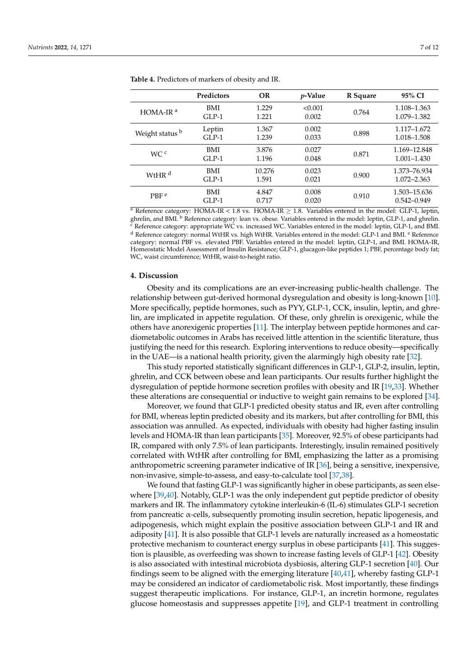|                                | <b>Predictors</b> | OR              | <i>p</i> -Value  | R Square | 95% CI                          |
|--------------------------------|-------------------|-----------------|------------------|----------|---------------------------------|
| $HOMA-IRa$                     | BMI<br>$GLP-1$    | 1.229<br>1.221  | < 0.001<br>0.002 | 0.764    | 1.108-1.363<br>1.079-1.382      |
| Weight status b                | Leptin<br>$GLP-1$ | 1.367<br>1.239  | 0.002<br>0.033   | 0.898    | 1.117–1.672<br>1.018-1.508      |
| WC <sup>c</sup>                | BMI<br>$GLP-1$    | 3.876<br>1.196  | 0.027<br>0.048   | 0.871    | 1.169-12.848<br>$1.001 - 1.430$ |
| W <sub>t</sub> HR <sup>d</sup> | BMI<br>$GLP-1$    | 10.276<br>1.591 | 0.023<br>0.021   | 0.900    | 1.373-76.934<br>1.072-2.363     |
| PBF <sup>e</sup>               | BMI<br>$GLP-1$    | 4.847<br>0.717  | 0.008<br>0.020   | 0.910    | 1.503-15.636<br>$0.542 - 0.949$ |

<span id="page-8-0"></span>**Table 4.** Predictors of markers of obesity and IR.

<sup>a</sup> Reference category: HOMA-IR < 1.8 vs. HOMA-IR  $\geq$  1.8. Variables entered in the model: GLP-1, leptin, ghrelin, and BMI. <sup>b</sup> Reference category: lean vs. obese. Variables entered in the model: leptin, GLP-1, and ghrelin. <sup>c</sup> Reference category: appropriate WC vs. increased WC. Variables entered in the model: leptin, GLP-1, and BMI. <sup>d</sup> Reference category: normal WtHR vs. high WtHR. Variables entered in the model: GLP-1 and BMI. <sup>e</sup> Reference category: normal PBF vs. elevated PBF. Variables entered in the model: leptin, GLP-1, and BMI. HOMA-IR, Homeostatic Model Assessment of Insulin Resistance; GLP-1, glucagon-like peptides 1; PBF, percentage body fat; WC, waist circumference; WtHR, waist-to-height ratio.

#### **4. Discussion**

Obesity and its complications are an ever-increasing public-health challenge. The relationship between gut-derived hormonal dysregulation and obesity is long-known [\[10\]](#page-11-9). More specifically, peptide hormones, such as PYY, GLP-1, CCK, insulin, leptin, and ghrelin, are implicated in appetite regulation. Of these, only ghrelin is orexigenic, while the others have anorexigenic properties [\[11\]](#page-11-10). The interplay between peptide hormones and cardiometabolic outcomes in Arabs has received little attention in the scientific literature, thus justifying the need for this research. Exploring interventions to reduce obesity—specifically in the UAE—is a national health priority, given the alarmingly high obesity rate [\[32\]](#page-12-9).

This study reported statistically significant differences in GLP-1, GLP-2, insulin, leptin, ghrelin, and CCK between obese and lean participants. Our results further highlight the dysregulation of peptide hormone secretion profiles with obesity and IR [\[19](#page-11-18)[,33\]](#page-12-10). Whether these alterations are consequential or inductive to weight gain remains to be explored [\[34\]](#page-12-11).

Moreover, we found that GLP-1 predicted obesity status and IR, even after controlling for BMI, whereas leptin predicted obesity and its markers, but after controlling for BMI, this association was annulled. As expected, individuals with obesity had higher fasting insulin levels and HOMA-IR than lean participants [\[35\]](#page-12-12). Moreover, 92.5% of obese participants had IR, compared with only 7.5% of lean participants. Interestingly, insulin remained positively correlated with WtHR after controlling for BMI, emphasizing the latter as a promising anthropometric screening parameter indicative of IR [\[36\]](#page-12-13), being a sensitive, inexpensive, non-invasive, simple-to-assess, and easy-to-calculate tool [\[37,](#page-12-14)[38\]](#page-12-15).

We found that fasting GLP-1 was significantly higher in obese participants, as seen elsewhere [\[39](#page-12-16)[,40\]](#page-12-17). Notably, GLP-1 was the only independent gut peptide predictor of obesity markers and IR. The inflammatory cytokine interleukin-6 (IL-6) stimulates GLP-1 secretion from pancreatic  $\alpha$ -cells, subsequently promoting insulin secretion, hepatic lipogenesis, and adipogenesis, which might explain the positive association between GLP-1 and IR and adiposity [\[41\]](#page-12-18). It is also possible that GLP-1 levels are naturally increased as a homeostatic protective mechanism to counteract energy surplus in obese participants [\[41\]](#page-12-18). This suggestion is plausible, as overfeeding was shown to increase fasting levels of GLP-1 [\[42\]](#page-12-19). Obesity is also associated with intestinal microbiota dysbiosis, altering GLP-1 secretion [\[40\]](#page-12-17). Our findings seem to be aligned with the emerging literature [\[40,](#page-12-17)[41\]](#page-12-18), whereby fasting GLP-1 may be considered an indicator of cardiometabolic risk. Most importantly, these findings suggest therapeutic implications. For instance, GLP-1, an incretin hormone, regulates glucose homeostasis and suppresses appetite [\[19\]](#page-11-18), and GLP-1 treatment in controlling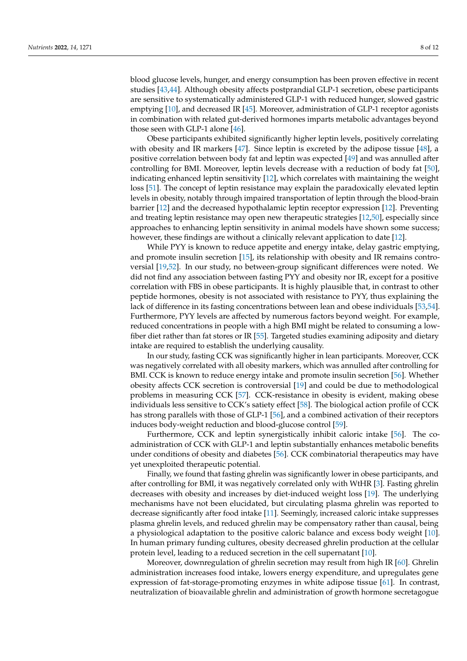blood glucose levels, hunger, and energy consumption has been proven effective in recent studies [\[43,](#page-12-20)[44\]](#page-12-21). Although obesity affects postprandial GLP-1 secretion, obese participants are sensitive to systematically administered GLP-1 with reduced hunger, slowed gastric emptying [\[10\]](#page-11-9), and decreased IR [\[45\]](#page-12-22). Moreover, administration of GLP-1 receptor agonists in combination with related gut-derived hormones imparts metabolic advantages beyond those seen with GLP-1 alone  $[46]$ .

Obese participants exhibited significantly higher leptin levels, positively correlating with obesity and IR markers [\[47\]](#page-12-24). Since leptin is excreted by the adipose tissue [\[48\]](#page-13-0), a positive correlation between body fat and leptin was expected [\[49\]](#page-13-1) and was annulled after controlling for BMI. Moreover, leptin levels decrease with a reduction of body fat [\[50\]](#page-13-2), indicating enhanced leptin sensitivity [\[12\]](#page-11-11), which correlates with maintaining the weight loss [\[51\]](#page-13-3). The concept of leptin resistance may explain the paradoxically elevated leptin levels in obesity, notably through impaired transportation of leptin through the blood-brain barrier [\[12\]](#page-11-11) and the decreased hypothalamic leptin receptor expression [\[12\]](#page-11-11). Preventing and treating leptin resistance may open new therapeutic strategies [\[12,](#page-11-11)[50\]](#page-13-2), especially since approaches to enhancing leptin sensitivity in animal models have shown some success; however, these findings are without a clinically relevant application to date [\[12\]](#page-11-11).

While PYY is known to reduce appetite and energy intake, delay gastric emptying, and promote insulin secretion [\[15\]](#page-11-14), its relationship with obesity and IR remains controversial [\[19,](#page-11-18)[52\]](#page-13-4). In our study, no between-group significant differences were noted. We did not find any association between fasting PYY and obesity nor IR, except for a positive correlation with FBS in obese participants. It is highly plausible that, in contrast to other peptide hormones, obesity is not associated with resistance to PYY, thus explaining the lack of difference in its fasting concentrations between lean and obese individuals [\[53,](#page-13-5)[54\]](#page-13-6). Furthermore, PYY levels are affected by numerous factors beyond weight. For example, reduced concentrations in people with a high BMI might be related to consuming a lowfiber diet rather than fat stores or IR [\[55\]](#page-13-7). Targeted studies examining adiposity and dietary intake are required to establish the underlying causality.

In our study, fasting CCK was significantly higher in lean participants. Moreover, CCK was negatively correlated with all obesity markers, which was annulled after controlling for BMI. CCK is known to reduce energy intake and promote insulin secretion [\[56\]](#page-13-8). Whether obesity affects CCK secretion is controversial [\[19\]](#page-11-18) and could be due to methodological problems in measuring CCK [\[57\]](#page-13-9). CCK-resistance in obesity is evident, making obese individuals less sensitive to CCK's satiety effect [\[58\]](#page-13-10). The biological action profile of CCK has strong parallels with those of GLP-1 [\[56\]](#page-13-8), and a combined activation of their receptors induces body-weight reduction and blood-glucose control [\[59\]](#page-13-11).

Furthermore, CCK and leptin synergistically inhibit caloric intake [\[56\]](#page-13-8). The coadministration of CCK with GLP-1 and leptin substantially enhances metabolic benefits under conditions of obesity and diabetes [\[56\]](#page-13-8). CCK combinatorial therapeutics may have yet unexploited therapeutic potential.

Finally, we found that fasting ghrelin was significantly lower in obese participants, and after controlling for BMI, it was negatively correlated only with WtHR [\[3\]](#page-11-2). Fasting ghrelin decreases with obesity and increases by diet-induced weight loss [\[19\]](#page-11-18). The underlying mechanisms have not been elucidated, but circulating plasma ghrelin was reported to decrease significantly after food intake [\[11\]](#page-11-10). Seemingly, increased caloric intake suppresses plasma ghrelin levels, and reduced ghrelin may be compensatory rather than causal, being a physiological adaptation to the positive caloric balance and excess body weight [\[10\]](#page-11-9). In human primary funding cultures, obesity decreased ghrelin production at the cellular protein level, leading to a reduced secretion in the cell supernatant [\[10\]](#page-11-9).

Moreover, downregulation of ghrelin secretion may result from high IR [\[60\]](#page-13-12). Ghrelin administration increases food intake, lowers energy expenditure, and upregulates gene expression of fat-storage-promoting enzymes in white adipose tissue [\[61\]](#page-13-13). In contrast, neutralization of bioavailable ghrelin and administration of growth hormone secretagogue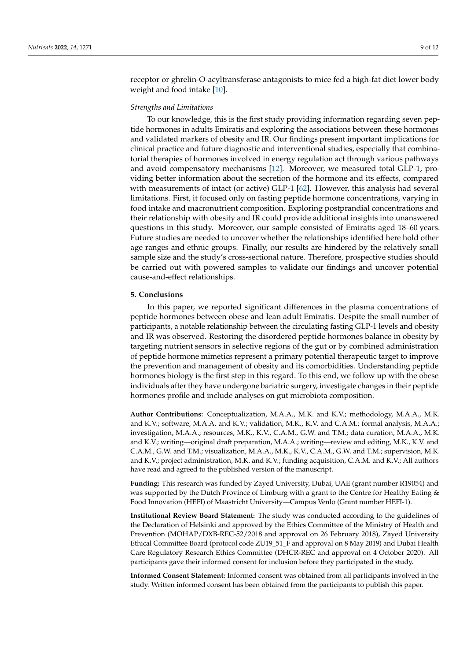receptor or ghrelin-O-acyltransferase antagonists to mice fed a high-fat diet lower body weight and food intake [\[10\]](#page-11-9).

#### *Strengths and Limitations*

To our knowledge, this is the first study providing information regarding seven peptide hormones in adults Emiratis and exploring the associations between these hormones and validated markers of obesity and IR. Our findings present important implications for clinical practice and future diagnostic and interventional studies, especially that combinatorial therapies of hormones involved in energy regulation act through various pathways and avoid compensatory mechanisms [\[12\]](#page-11-11). Moreover, we measured total GLP-1, providing better information about the secretion of the hormone and its effects, compared with measurements of intact (or active) GLP-1 [\[62\]](#page-13-14). However, this analysis had several limitations. First, it focused only on fasting peptide hormone concentrations, varying in food intake and macronutrient composition. Exploring postprandial concentrations and their relationship with obesity and IR could provide additional insights into unanswered questions in this study. Moreover, our sample consisted of Emiratis aged 18–60 years. Future studies are needed to uncover whether the relationships identified here hold other age ranges and ethnic groups. Finally, our results are hindered by the relatively small sample size and the study's cross-sectional nature. Therefore, prospective studies should be carried out with powered samples to validate our findings and uncover potential cause-and-effect relationships.

#### **5. Conclusions**

In this paper, we reported significant differences in the plasma concentrations of peptide hormones between obese and lean adult Emiratis. Despite the small number of participants, a notable relationship between the circulating fasting GLP-1 levels and obesity and IR was observed. Restoring the disordered peptide hormones balance in obesity by targeting nutrient sensors in selective regions of the gut or by combined administration of peptide hormone mimetics represent a primary potential therapeutic target to improve the prevention and management of obesity and its comorbidities. Understanding peptide hormones biology is the first step in this regard. To this end, we follow up with the obese individuals after they have undergone bariatric surgery, investigate changes in their peptide hormones profile and include analyses on gut microbiota composition.

**Author Contributions:** Conceptualization, M.A.A., M.K. and K.V.; methodology, M.A.A., M.K. and K.V.; software, M.A.A. and K.V.; validation, M.K., K.V. and C.A.M.; formal analysis, M.A.A.; investigation, M.A.A.; resources, M.K., K.V., C.A.M., G.W. and T.M.; data curation, M.A.A., M.K. and K.V.; writing—original draft preparation, M.A.A.; writing—review and editing, M.K., K.V. and C.A.M., G.W. and T.M.; visualization, M.A.A., M.K., K.V., C.A.M., G.W. and T.M.; supervision, M.K. and K.V.; project administration, M.K. and K.V.; funding acquisition, C.A.M. and K.V.; All authors have read and agreed to the published version of the manuscript.

**Funding:** This research was funded by Zayed University, Dubai, UAE (grant number R19054) and was supported by the Dutch Province of Limburg with a grant to the Centre for Healthy Eating & Food Innovation (HEFI) of Maastricht University—Campus Venlo (Grant number HEFI-1).

**Institutional Review Board Statement:** The study was conducted according to the guidelines of the Declaration of Helsinki and approved by the Ethics Committee of the Ministry of Health and Prevention (MOHAP/DXB-REC-52/2018 and approval on 26 February 2018), Zayed University Ethical Committee Board (protocol code ZU19\_51\_F and approval on 8 May 2019) and Dubai Health Care Regulatory Research Ethics Committee (DHCR-REC and approval on 4 October 2020). All participants gave their informed consent for inclusion before they participated in the study.

**Informed Consent Statement:** Informed consent was obtained from all participants involved in the study. Written informed consent has been obtained from the participants to publish this paper.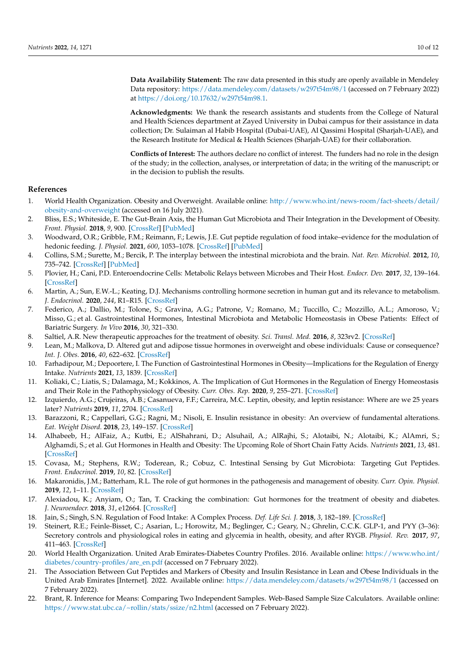**Data Availability Statement:** The raw data presented in this study are openly available in Mendeley Data repository: <https://data.mendeley.com/datasets/w297t54m98/1> (accessed on 7 February 2022) at [https://doi.org/10.17632/w297t54m98.1.](https://doi.org/10.17632/w297t54m98.1)

**Acknowledgments:** We thank the research assistants and students from the College of Natural and Health Sciences department at Zayed University in Dubai campus for their assistance in data collection; Dr. Sulaiman al Habib Hospital (Dubai-UAE), Al Qassimi Hospital (Sharjah-UAE), and the Research Institute for Medical & Health Sciences (Sharjah-UAE) for their collaboration.

**Conflicts of Interest:** The authors declare no conflict of interest. The funders had no role in the design of the study; in the collection, analyses, or interpretation of data; in the writing of the manuscript; or in the decision to publish the results.

#### **References**

- <span id="page-11-0"></span>1. World Health Organization. Obesity and Overweight. Available online: [http://www.who.int/news-room/fact-sheets/detail/](http://www.who.int/news-room/fact-sheets/detail/obesity-and-overweight) [obesity-and-overweight](http://www.who.int/news-room/fact-sheets/detail/obesity-and-overweight) (accessed on 16 July 2021).
- <span id="page-11-1"></span>2. Bliss, E.S.; Whiteside, E. The Gut-Brain Axis, the Human Gut Microbiota and Their Integration in the Development of Obesity. *Front. Physiol.* **2018**, *9*, 900. [\[CrossRef\]](http://doi.org/10.3389/fphys.2018.00900) [\[PubMed\]](http://www.ncbi.nlm.nih.gov/pubmed/30050464)
- <span id="page-11-2"></span>3. Woodward, O.R.; Gribble, F.M.; Reimann, F.; Lewis, J.E. Gut peptide regulation of food intake–evidence for the modulation of hedonic feeding. *J. Physiol.* **2021**, *600*, 1053–1078. [\[CrossRef\]](http://doi.org/10.1113/JP280581) [\[PubMed\]](http://www.ncbi.nlm.nih.gov/pubmed/34152020)
- <span id="page-11-3"></span>4. Collins, S.M.; Surette, M.; Bercik, P. The interplay between the intestinal microbiota and the brain. *Nat. Rev. Microbiol.* **2012**, *10*, 735–742. [\[CrossRef\]](http://doi.org/10.1038/nrmicro2876) [\[PubMed\]](http://www.ncbi.nlm.nih.gov/pubmed/23000955)
- <span id="page-11-4"></span>5. Plovier, H.; Cani, P.D. Enteroendocrine Cells: Metabolic Relays between Microbes and Their Host. *Endocr. Dev.* **2017**, *32*, 139–164. [\[CrossRef\]](http://doi.org/10.1159/000475736)
- <span id="page-11-5"></span>6. Martin, A.; Sun, E.W.-L.; Keating, D.J. Mechanisms controlling hormone secretion in human gut and its relevance to metabolism. *J. Endocrinol.* **2020**, *244*, R1–R15. [\[CrossRef\]](http://doi.org/10.1530/JOE-19-0399)
- <span id="page-11-6"></span>7. Federico, A.; Dallio, M.; Tolone, S.; Gravina, A.G.; Patrone, V.; Romano, M.; Tuccillo, C.; Mozzillo, A.L.; Amoroso, V.; Misso, G.; et al. Gastrointestinal Hormones, Intestinal Microbiota and Metabolic Homeostasis in Obese Patients: Effect of Bariatric Surgery. *In Vivo* **2016**, *30*, 321–330.
- <span id="page-11-7"></span>8. Saltiel, A.R. New therapeutic approaches for the treatment of obesity. *Sci. Transl. Med.* **2016**, *8*, 323rv2. [\[CrossRef\]](http://doi.org/10.1126/scitranslmed.aad1811)
- <span id="page-11-8"></span>9. Lean, M.; Malkova, D. Altered gut and adipose tissue hormones in overweight and obese individuals: Cause or consequence? *Int. J. Obes.* **2016**, *40*, 622–632. [\[CrossRef\]](http://doi.org/10.1038/ijo.2015.220)
- <span id="page-11-9"></span>10. Farhadipour, M.; Depoortere, I. The Function of Gastrointestinal Hormones in Obesity—Implications for the Regulation of Energy Intake. *Nutrients* **2021**, *13*, 1839. [\[CrossRef\]](http://doi.org/10.3390/nu13061839)
- <span id="page-11-10"></span>11. Koliaki, C.; Liatis, S.; Dalamaga, M.; Kokkinos, A. The Implication of Gut Hormones in the Regulation of Energy Homeostasis and Their Role in the Pathophysiology of Obesity. *Curr. Obes. Rep.* **2020**, *9*, 255–271. [\[CrossRef\]](http://doi.org/10.1007/s13679-020-00396-9)
- <span id="page-11-11"></span>12. Izquierdo, A.G.; Crujeiras, A.B.; Casanueva, F.F.; Carreira, M.C. Leptin, obesity, and leptin resistance: Where are we 25 years later? *Nutrients* **2019**, *11*, 2704. [\[CrossRef\]](http://doi.org/10.3390/nu11112704)
- <span id="page-11-12"></span>13. Barazzoni, R.; Cappellari, G.G.; Ragni, M.; Nisoli, E. Insulin resistance in obesity: An overview of fundamental alterations. *Eat. Weight Disord.* **2018**, *23*, 149–157. [\[CrossRef\]](http://doi.org/10.1007/s40519-018-0481-6)
- <span id="page-11-13"></span>14. Alhabeeb, H.; AlFaiz, A.; Kutbi, E.; AlShahrani, D.; Alsuhail, A.; AlRajhi, S.; Alotaibi, N.; Alotaibi, K.; AlAmri, S.; Alghamdi, S.; et al. Gut Hormones in Health and Obesity: The Upcoming Role of Short Chain Fatty Acids. *Nutrients* **2021**, *13*, 481. [\[CrossRef\]](http://doi.org/10.3390/nu13020481)
- <span id="page-11-14"></span>15. Covasa, M.; Stephens, R.W.; Toderean, R.; Cobuz, C. Intestinal Sensing by Gut Microbiota: Targeting Gut Peptides. *Front. Endocrinol.* **2019**, *10*, 82. [\[CrossRef\]](http://doi.org/10.3389/fendo.2019.00082)
- <span id="page-11-15"></span>16. Makaronidis, J.M.; Batterham, R.L. The role of gut hormones in the pathogenesis and management of obesity. *Curr. Opin. Physiol.* **2019**, *12*, 1–11. [\[CrossRef\]](http://doi.org/10.1016/j.cophys.2019.04.007)
- <span id="page-11-16"></span>17. Alexiadou, K.; Anyiam, O.; Tan, T. Cracking the combination: Gut hormones for the treatment of obesity and diabetes. *J. Neuroendocr.* **2018**, *31*, e12664. [\[CrossRef\]](http://doi.org/10.1111/jne.12664)
- <span id="page-11-17"></span>18. Jain, S.; Singh, S.N. Regulation of Food Intake: A Complex Process. *Def. Life Sci. J.* **2018**, *3*, 182–189. [\[CrossRef\]](http://doi.org/10.14429/dlsj.3.12401)
- <span id="page-11-18"></span>19. Steinert, R.E.; Feinle-Bisset, C.; Asarian, L.; Horowitz, M.; Beglinger, C.; Geary, N.; Ghrelin, C.C.K. GLP-1, and PYY (3–36): Secretory controls and physiological roles in eating and glycemia in health, obesity, and after RYGB. *Physiol. Rev.* **2017**, *97*, 411–463. [\[CrossRef\]](http://doi.org/10.1152/physrev.00031.2014)
- <span id="page-11-19"></span>20. World Health Organization. United Arab Emirates-Diabetes Country Profiles. 2016. Available online: [https://www.who.int/](https://www.who.int/diabetes/country-profiles/are_en.pdf) [diabetes/country-profiles/are\\_en.pdf](https://www.who.int/diabetes/country-profiles/are_en.pdf) (accessed on 7 February 2022).
- <span id="page-11-20"></span>21. The Association Between Gut Peptides and Markers of Obesity and Insulin Resistance in Lean and Obese Individuals in the United Arab Emirates [Internet]. 2022. Available online: <https://data.mendeley.com/datasets/w297t54m98/1> (accessed on 7 February 2022).
- <span id="page-11-21"></span>22. Brant, R. Inference for Means: Comparing Two Independent Samples. Web-Based Sample Size Calculators. Available online: <https://www.stat.ubc.ca/~rollin/stats/ssize/n2.html> (accessed on 7 February 2022).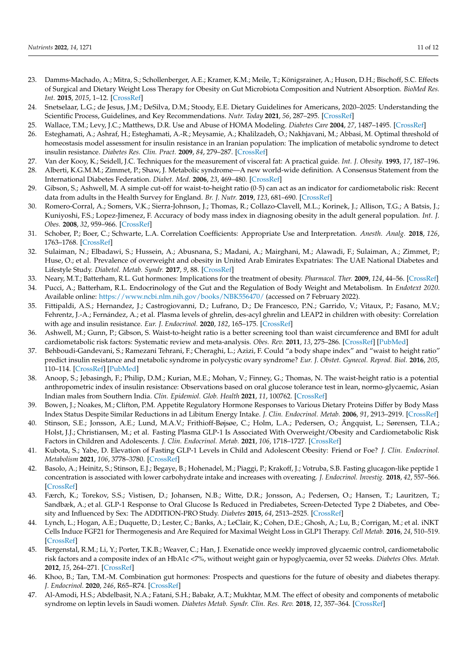- <span id="page-12-0"></span>23. Damms-Machado, A.; Mitra, S.; Schollenberger, A.E.; Kramer, K.M.; Meile, T.; Königsrainer, A.; Huson, D.H.; Bischoff, S.C. Effects of Surgical and Dietary Weight Loss Therapy for Obesity on Gut Microbiota Composition and Nutrient Absorption. *BioMed Res. Int.* **2015**, *2015*, 1–12. [\[CrossRef\]](http://doi.org/10.1155/2015/806248)
- <span id="page-12-1"></span>24. Snetselaar, L.G.; de Jesus, J.M.; DeSilva, D.M.; Stoody, E.E. Dietary Guidelines for Americans, 2020–2025: Understanding the Scientific Process, Guidelines, and Key Recommendations. *Nutr. Today* **2021**, *56*, 287–295. [\[CrossRef\]](http://doi.org/10.1097/NT.0000000000000512)
- <span id="page-12-2"></span>25. Wallace, T.M.; Levy, J.C.; Matthews, D.R. Use and Abuse of HOMA Modeling. *Diabetes Care* **2004**, *27*, 1487–1495. [\[CrossRef\]](http://doi.org/10.2337/diacare.27.6.1487)
- <span id="page-12-3"></span>26. Esteghamati, A.; Ashraf, H.; Esteghamati, A.-R.; Meysamie, A.; Khalilzadeh, O.; Nakhjavani, M.; Abbasi, M. Optimal threshold of homeostasis model assessment for insulin resistance in an Iranian population: The implication of metabolic syndrome to detect insulin resistance. *Diabetes Res. Clin. Pract.* **2009**, *84*, 279–287. [\[CrossRef\]](http://doi.org/10.1016/j.diabres.2009.03.005)
- <span id="page-12-5"></span><span id="page-12-4"></span>27. Van der Kooy, K.; Seidell, J.C. Techniques for the measurement of visceral fat: A practical guide. *Int. J. Obesity.* **1993**, *17*, 187–196. 28. Alberti, K.G.M.M.; Zimmet, P.; Shaw, J. Metabolic syndrome—A new world-wide definition. A Consensus Statement from the International Diabetes Federation. *Diabet. Med.* **2006**, *23*, 469–480. [\[CrossRef\]](http://doi.org/10.1111/j.1464-5491.2006.01858.x)
- <span id="page-12-6"></span>29. Gibson, S.; Ashwell, M. A simple cut-off for waist-to-height ratio (0·5) can act as an indicator for cardiometabolic risk: Recent data from adults in the Health Survey for England. *Br. J. Nutr.* **2019**, *123*, 681–690. [\[CrossRef\]](http://doi.org/10.1017/S0007114519003301)
- <span id="page-12-7"></span>30. Romero-Corral, A.; Somers, V.K.; Sierra-Johnson, J.; Thomas, R.; Collazo-Clavell, M.L.; Korinek, J.; Allison, T.G.; A Batsis, J.; Kuniyoshi, F.S.; Lopez-Jimenez, F. Accuracy of body mass index in diagnosing obesity in the adult general population. *Int. J. Obes.* **2008**, *32*, 959–966. [\[CrossRef\]](http://doi.org/10.1038/ijo.2008.11)
- <span id="page-12-8"></span>31. Schober, P.; Boer, C.; Schwarte, L.A. Correlation Coefficients: Appropriate Use and Interpretation. *Anesth. Analg.* **2018**, *126*, 1763–1768. [\[CrossRef\]](http://doi.org/10.1213/ANE.0000000000002864)
- <span id="page-12-9"></span>32. Sulaiman, N.; Elbadawi, S.; Hussein, A.; Abusnana, S.; Madani, A.; Mairghani, M.; Alawadi, F.; Sulaiman, A.; Zimmet, P.; Huse, O.; et al. Prevalence of overweight and obesity in United Arab Emirates Expatriates: The UAE National Diabetes and Lifestyle Study. *Diabetol. Metab. Syndr.* **2017**, *9*, 88. [\[CrossRef\]](http://doi.org/10.1186/s13098-017-0287-0)
- <span id="page-12-10"></span>33. Neary, M.T.; Batterham, R.L. Gut hormones: Implications for the treatment of obesity. *Pharmacol. Ther.* **2009**, *124*, 44–56. [\[CrossRef\]](http://doi.org/10.1016/j.pharmthera.2009.06.005)
- <span id="page-12-11"></span>34. Pucci, A.; Batterham, R.L. Endocrinology of the Gut and the Regulation of Body Weight and Metabolism. In *Endotext 2020*. Available online: <https://www.ncbi.nlm.nih.gov/books/NBK556470/> (accessed on 7 February 2022).
- <span id="page-12-12"></span>35. Fittipaldi, A.S.; Hernandez, J.; Castrogiovanni, D.; Lufrano, D.; De Francesco, P.N.; Garrido, V.; Vitaux, P.; Fasano, M.V.; Fehrentz, J.-A.; Fernández, A.; et al. Plasma levels of ghrelin, des-acyl ghrelin and LEAP2 in children with obesity: Correlation with age and insulin resistance. *Eur. J. Endocrinol.* **2020**, *182*, 165–175. [\[CrossRef\]](http://doi.org/10.1530/EJE-19-0684)
- <span id="page-12-13"></span>36. Ashwell, M.; Gunn, P.; Gibson, S. Waist-to-height ratio is a better screening tool than waist circumference and BMI for adult cardiometabolic risk factors: Systematic review and meta-analysis. *Obes. Rev.* **2011**, *13*, 275–286. [\[CrossRef\]](http://doi.org/10.1111/j.1467-789X.2011.00952.x) [\[PubMed\]](http://www.ncbi.nlm.nih.gov/pubmed/22106927)
- <span id="page-12-14"></span>37. Behboudi-Gandevani, S.; Ramezani Tehrani, F.; Cheraghi, L.; Azizi, F. Could "a body shape index" and "waist to height ratio" predict insulin resistance and metabolic syndrome in polycystic ovary syndrome? *Eur. J. Obstet. Gynecol. Reprod. Biol.* **2016**, *205*, 110–114. [\[CrossRef\]](http://doi.org/10.1016/j.ejogrb.2016.08.011) [\[PubMed\]](http://www.ncbi.nlm.nih.gov/pubmed/27579518)
- <span id="page-12-15"></span>38. Anoop, S.; Jebasingh, F.; Philip, D.M.; Kurian, M.E.; Mohan, V.; Finney, G.; Thomas, N. The waist-height ratio is a potential anthropometric index of insulin resistance: Observations based on oral glucose tolerance test in lean, normo-glycaemic, Asian Indian males from Southern India. *Clin. Epidemiol. Glob. Health* **2021**, *11*, 100762. [\[CrossRef\]](http://doi.org/10.1016/j.cegh.2021.100762)
- <span id="page-12-16"></span>39. Bowen, J.; Noakes, M.; Clifton, P.M. Appetite Regulatory Hormone Responses to Various Dietary Proteins Differ by Body Mass Index Status Despite Similar Reductions in ad Libitum Energy Intake. *J. Clin. Endocrinol. Metab.* **2006**, *91*, 2913–2919. [\[CrossRef\]](http://doi.org/10.1210/jc.2006-0609)
- <span id="page-12-17"></span>40. Stinson, S.E.; Jonsson, A.E.; Lund, M.A.V.; Frithioff-Bøjsøe, C.; Holm, L.A.; Pedersen, O.; Ängquist, L.; Sørensen, T.I.A.; Holst, J.J.; Christiansen, M.; et al. Fasting Plasma GLP-1 Is Associated With Overweight/Obesity and Cardiometabolic Risk Factors in Children and Adolescents. *J. Clin. Endocrinol. Metab.* **2021**, *106*, 1718–1727. [\[CrossRef\]](http://doi.org/10.1210/clinem/dgab098)
- <span id="page-12-18"></span>41. Kubota, S.; Yabe, D. Elevation of Fasting GLP-1 Levels in Child and Adolescent Obesity: Friend or Foe? *J. Clin. Endocrinol. Metabolism* **2021**, *106*, 3778–3780. [\[CrossRef\]](http://doi.org/10.1210/clinem/dgab301)
- <span id="page-12-19"></span>42. Basolo, A.; Heinitz, S.; Stinson, E.J.; Begaye, B.; Hohenadel, M.; Piaggi, P.; Krakoff, J.; Votruba, S.B. Fasting glucagon-like peptide 1 concentration is associated with lower carbohydrate intake and increases with overeating. *J. Endocrinol. Investig.* **2018**, *42*, 557–566. [\[CrossRef\]](http://doi.org/10.1007/s40618-018-0954-5)
- <span id="page-12-20"></span>43. Færch, K.; Torekov, S.S.; Vistisen, D.; Johansen, N.B.; Witte, D.R.; Jonsson, A.; Pedersen, O.; Hansen, T.; Lauritzen, T.; Sandbæk, A.; et al. GLP-1 Response to Oral Glucose Is Reduced in Prediabetes, Screen-Detected Type 2 Diabetes, and Obesity and Influenced by Sex: The ADDITION-PRO Study. *Diabetes* **2015**, *64*, 2513–2525. [\[CrossRef\]](http://doi.org/10.2337/db14-1751)
- <span id="page-12-21"></span>44. Lynch, L.; Hogan, A.E.; Duquette, D.; Lester, C.; Banks, A.; LeClair, K.; Cohen, D.E.; Ghosh, A.; Lu, B.; Corrigan, M.; et al. iNKT Cells Induce FGF21 for Thermogenesis and Are Required for Maximal Weight Loss in GLP1 Therapy. *Cell Metab.* **2016**, *24*, 510–519. [\[CrossRef\]](http://doi.org/10.1016/j.cmet.2016.08.003)
- <span id="page-12-22"></span>45. Bergenstal, R.M.; Li, Y.; Porter, T.K.B.; Weaver, C.; Han, J. Exenatide once weekly improved glycaemic control, cardiometabolic risk factors and a composite index of an HbA1c <7%, without weight gain or hypoglycaemia, over 52 weeks. *Diabetes Obes. Metab.* **2012**, *15*, 264–271. [\[CrossRef\]](http://doi.org/10.1111/dom.12026)
- <span id="page-12-23"></span>46. Khoo, B.; Tan, T.M.-M. Combination gut hormones: Prospects and questions for the future of obesity and diabetes therapy. *J. Endocrinol.* **2020**, *246*, R65–R74. [\[CrossRef\]](http://doi.org/10.1530/JOE-20-0119)
- <span id="page-12-24"></span>47. Al-Amodi, H.S.; Abdelbasit, N.A.; Fatani, S.H.; Babakr, A.T.; Mukhtar, M.M. The effect of obesity and components of metabolic syndrome on leptin levels in Saudi women. *Diabetes Metab. Syndr. Clin. Res. Rev.* **2018**, *12*, 357–364. [\[CrossRef\]](http://doi.org/10.1016/j.dsx.2017.12.030)